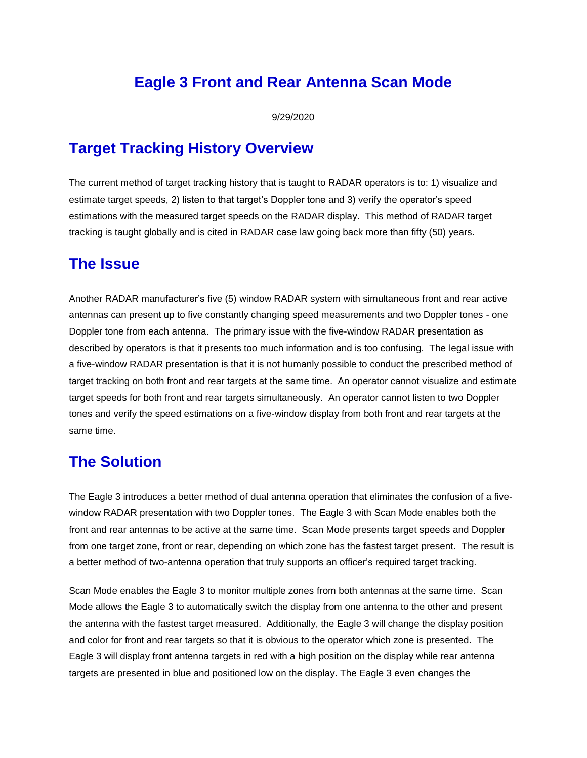## **Eagle 3 Front and Rear Antenna Scan Mode**

9/29/2020

## **Target Tracking History Overview**

The current method of target tracking history that is taught to RADAR operators is to: 1) visualize and estimate target speeds, 2) listen to that target's Doppler tone and 3) verify the operator's speed estimations with the measured target speeds on the RADAR display. This method of RADAR target tracking is taught globally and is cited in RADAR case law going back more than fifty (50) years.

## **The Issue**

Another RADAR manufacturer's five (5) window RADAR system with simultaneous front and rear active antennas can present up to five constantly changing speed measurements and two Doppler tones - one Doppler tone from each antenna. The primary issue with the five-window RADAR presentation as described by operators is that it presents too much information and is too confusing. The legal issue with a five-window RADAR presentation is that it is not humanly possible to conduct the prescribed method of target tracking on both front and rear targets at the same time. An operator cannot visualize and estimate target speeds for both front and rear targets simultaneously. An operator cannot listen to two Doppler tones and verify the speed estimations on a five-window display from both front and rear targets at the same time.

## **The Solution**

The Eagle 3 introduces a better method of dual antenna operation that eliminates the confusion of a fivewindow RADAR presentation with two Doppler tones. The Eagle 3 with Scan Mode enables both the front and rear antennas to be active at the same time. Scan Mode presents target speeds and Doppler from one target zone, front or rear, depending on which zone has the fastest target present. The result is a better method of two-antenna operation that truly supports an officer's required target tracking.

Scan Mode enables the Eagle 3 to monitor multiple zones from both antennas at the same time. Scan Mode allows the Eagle 3 to automatically switch the display from one antenna to the other and present the antenna with the fastest target measured. Additionally, the Eagle 3 will change the display position and color for front and rear targets so that it is obvious to the operator which zone is presented. The Eagle 3 will display front antenna targets in red with a high position on the display while rear antenna targets are presented in blue and positioned low on the display. The Eagle 3 even changes the